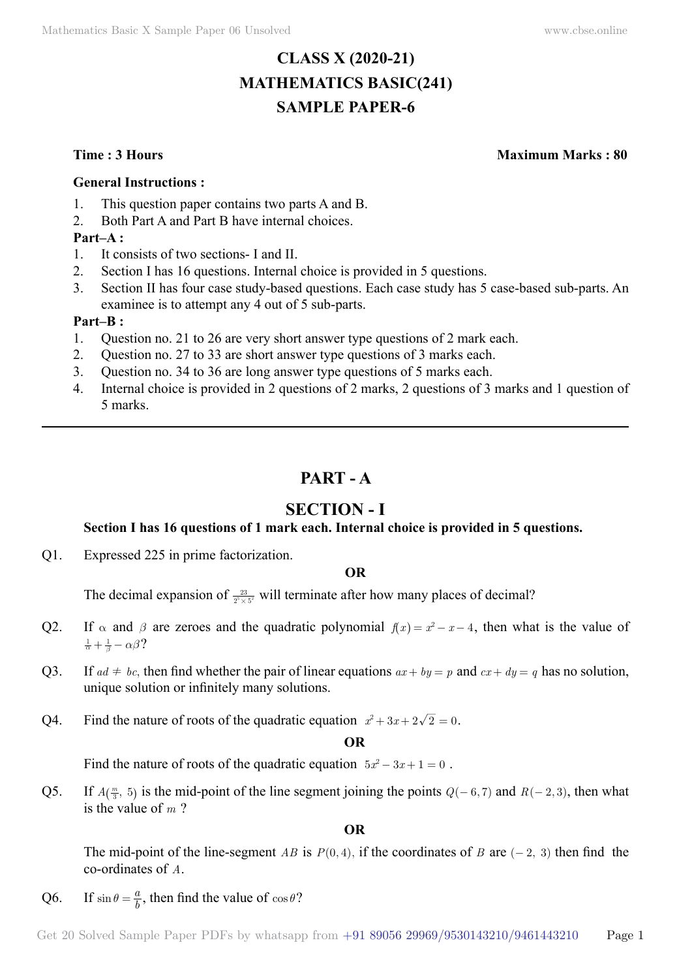# **CLASS X (2020-21) MATHEMATICS BASIC(241) SAMPLE PAPER-6**

**Time : 3 Hours Maximum Marks : 80**

## **General Instructions :**

- 1. This question paper contains two parts A and B.
- 2. Both Part A and Part B have internal choices.

## **Part–A :**

- 1. It consists of two sections- I and II.
- 2. Section I has 16 questions. Internal choice is provided in 5 questions.
- 3. Section II has four case study-based questions. Each case study has 5 case-based sub-parts. An examinee is to attempt any 4 out of 5 sub-parts.

## **Part–B :**

- 1. Question no. 21 to 26 are very short answer type questions of 2 mark each.
- 2. Question no. 27 to 33 are short answer type questions of 3 marks each.
- 3. Question no. 34 to 36 are long answer type questions of 5 marks each.
- 4. Internal choice is provided in 2 questions of 2 marks, 2 questions of 3 marks and 1 question of 5 marks.

## **Part - A**

## **Section - I**

## **Section I has 16 questions of 1 mark each. Internal choice is provided in 5 questions.**

Q1. Expressed 225 in prime factorization.

## **O**

The decimal expansion of  $\frac{23}{2^5 \times 5^2}$  will terminate after how many places of decimal?

- Q2. If  $\alpha$  and  $\beta$  are zeroes and the quadratic polynomial  $f(x) = x^2 x 4$ , then what is the value of  $\frac{1}{\alpha} + \frac{1}{\beta} - \alpha \beta$ ?
- Q3. If  $ad \neq bc$ , then find whether the pair of linear equations  $ax + by = p$  and  $cx + dy = q$  has no solution, unique solution or infinitely many solutions.
- Q4. Find the nature of roots of the quadratic equation  $x^2 + 3x + 2\sqrt{2} = 0$ .

 **O**

Find the nature of roots of the quadratic equation  $5x^2 - 3x + 1 = 0$ .

Q5. If  $A(\frac{m}{3}, 5)$  is the mid-point of the line segment joining the points  $Q(-6, 7)$  and  $R(-2, 3)$ , then what is the value of *m* ?

 **O**

The mid-point of the line-segment *AB* is  $P(0, 4)$ , if the coordinates of *B* are  $(-2, 3)$  then find the co-ordinates of *A*.

Q6. If  $\sin \theta = \frac{a}{b}$ , then find the value of  $\cos \theta$ ?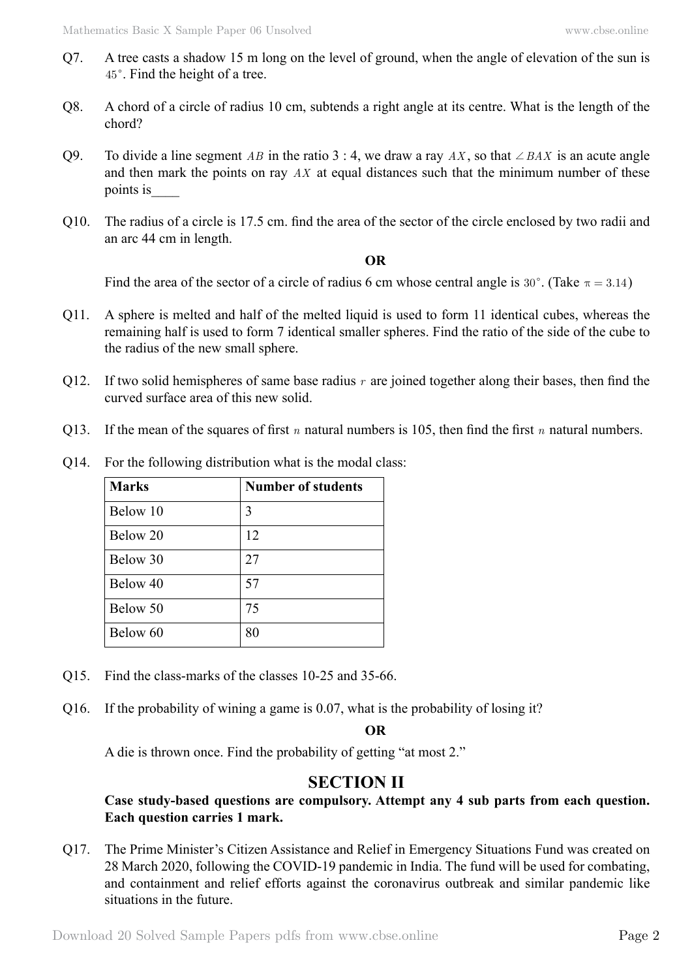- Q7. A tree casts a shadow 15 m long on the level of ground, when the angle of elevation of the sun is 45°. Find the height of a tree.
- Q8. A chord of a circle of radius 10 cm, subtends a right angle at its centre. What is the length of the chord?
- Q9. To divide a line segment *AB* in the ratio 3 : 4, we draw a ray *AX*, so that  $\angle BAX$  is an acute angle and then mark the points on ray *AX* at equal distances such that the minimum number of these points is\_\_\_\_
- Q10. The radius of a circle is 17.5 cm. find the area of the sector of the circle enclosed by two radii and an arc 44 cm in length.

## **O**

Find the area of the sector of a circle of radius 6 cm whose central angle is 30°. (Take  $\pi = 3.14$ )

- Q11. A sphere is melted and half of the melted liquid is used to form 11 identical cubes, whereas the remaining half is used to form 7 identical smaller spheres. Find the ratio of the side of the cube to the radius of the new small sphere.
- Q12. If two solid hemispheres of same base radius *r* are joined together along their bases, then find the curved surface area of this new solid.
- Q13. If the mean of the squares of first *n* natural numbers is 105, then find the first *n* natural numbers.

| <b>Marks</b> | <b>Number of students</b> |
|--------------|---------------------------|
| Below 10     | 3                         |
| Below 20     | 12                        |
| Below 30     | 27                        |
| Below 40     | 57                        |
| Below 50     | 75                        |
| Below 60     | 80                        |

Q14. For the following distribution what is the modal class:

- Q15. Find the class-marks of the classes 10-25 and 35-66.
- Q16. If the probability of wining a game is 0.07, what is the probability of losing it?

 **O**

A die is thrown once. Find the probability of getting "at most 2."

## **Section II**

**Case study-based questions are compulsory. Attempt any 4 sub parts from each question. Each question carries 1 mark.**

Q17. The Prime Minister's Citizen Assistance and Relief in Emergency Situations Fund was created on 28 March 2020, following the COVID-19 pandemic in India. The fund will be used for combating, and containment and relief efforts against the coronavirus outbreak and similar pandemic like situations in the future.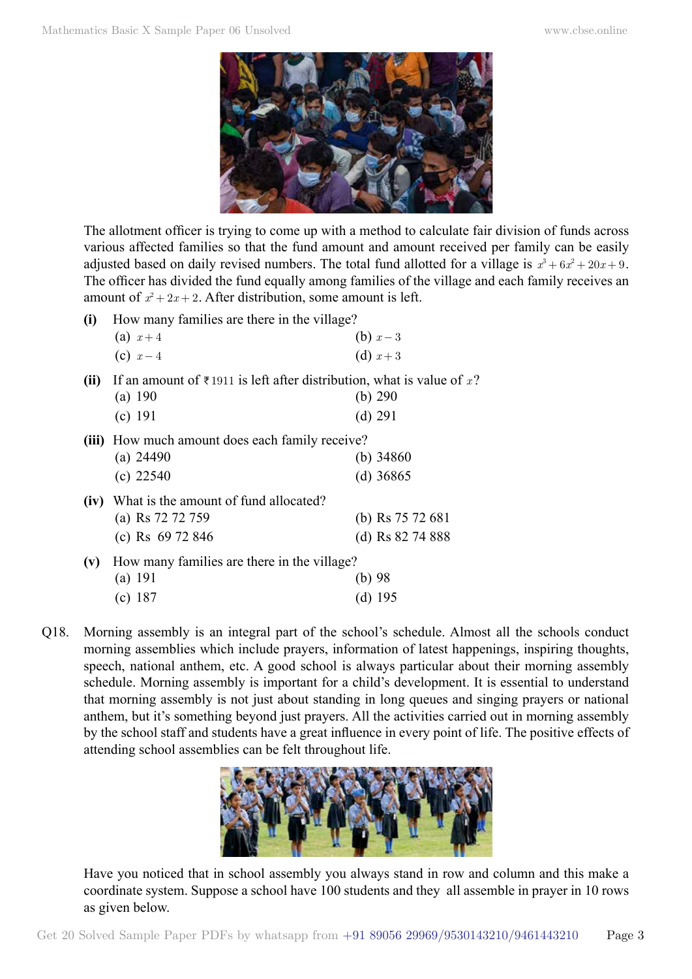

The allotment officer is trying to come up with a method to calculate fair division of funds across various affected families so that the fund amount and amount received per family can be easily adjusted based on daily revised numbers. The total fund allotted for a village is  $x^3 + 6x^2 + 20x + 9$ . The officer has divided the fund equally among families of the village and each family receives an amount of  $x^2 + 2x + 2$ . After distribution, some amount is left.

- **(i)** How many families are there in the village? (a)  $x+4$  (b)  $x-3$ (c)  $x-4$  (d)  $x+3$
- **(ii)** If an amount of  $\bar{\tau}$  1911 is left after distribution, what is value of x?
	- (a) 190 (b) 290 (c) 191 (d) 291
- **(iii)** How much amount does each family receive?<br>(a) 24860<br>(b) 34860

| (a) $24490$ | (b) $34860$ |
|-------------|-------------|
| (c) $22540$ | (d) $36865$ |

## **(iv)** What is the amount of fund allocated? (a) Rs 72 72 759 (b) Rs 75 72 681 (c) Rs 69 72 846 (d) Rs 82 74 888

- **(v)** How many families are there in the village? (a) 191 (b) 98 (c) 187 (d) 195
- Q18. Morning assembly is an integral part of the school's schedule. Almost all the schools conduct morning assemblies which include prayers, information of latest happenings, inspiring thoughts, speech, national anthem, etc. A good school is always particular about their morning assembly schedule. Morning assembly is important for a child's development. It is essential to understand that morning assembly is not just about standing in long queues and singing prayers or national anthem, but it's something beyond just prayers. All the activities carried out in morning assembly by the school staff and students have a great influence in every point of life. The positive effects of attending school assemblies can be felt throughout life.



Have you noticed that in school assembly you always stand in row and column and this make a coordinate system. Suppose a school have 100 students and they all assemble in prayer in 10 rows as given below.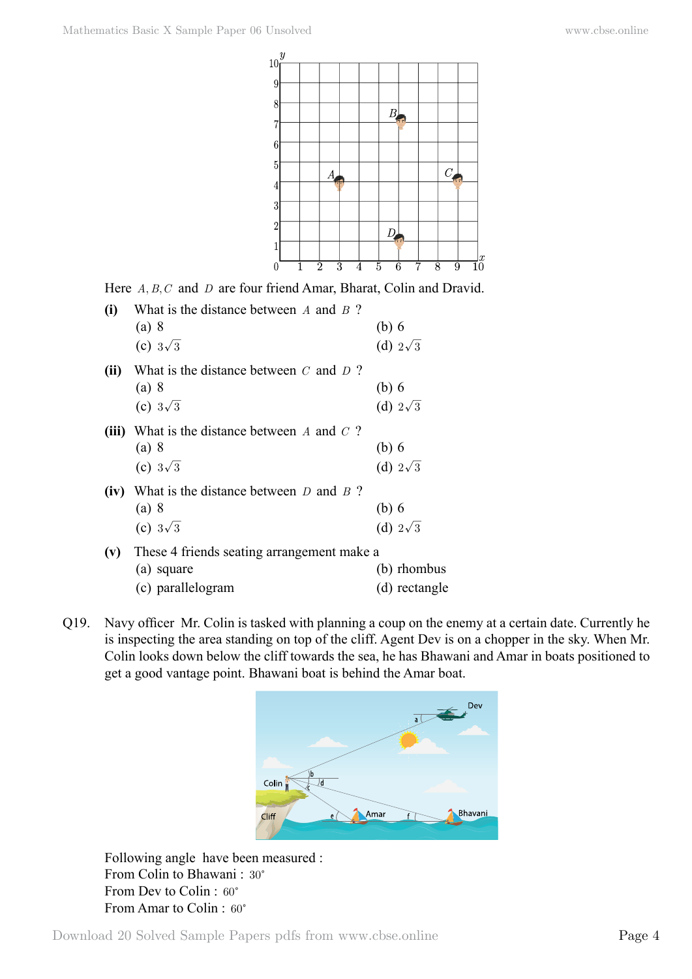

Here *A, B, C* and *D* are four friend Amar, Bharat, Colin and Dravid.

| (i)  | What is the distance between $A$ and $B$ ?      |                 |
|------|-------------------------------------------------|-----------------|
|      | (a) 8                                           | (b) 6           |
|      | (c) $3\sqrt{3}$                                 | (d) $2\sqrt{3}$ |
| (ii) | What is the distance between $C$ and $D$ ?      |                 |
|      | (a) 8                                           | (b) 6           |
|      | (c) $3\sqrt{3}$                                 | (d) $2\sqrt{3}$ |
|      | (iii) What is the distance between A and $C$ ?  |                 |
|      | (a) 8                                           | (b) 6           |
|      | (c) $3\sqrt{3}$                                 | (d) $2\sqrt{3}$ |
|      | (iv) What is the distance between $D$ and $B$ ? |                 |
|      | (a) 8                                           | (b) 6           |
|      | (c) $3\sqrt{3}$                                 | (d) $2\sqrt{3}$ |
|      | (v) These 4 friends seating arrangement make a  |                 |
|      | (a) square                                      | (b) rhombus     |

(c) parallelogram (d) rectangle

Q19. Navy officer Mr. Colin is tasked with planning a coup on the enemy at a certain date. Currently he is inspecting the area standing on top of the cliff. Agent Dev is on a chopper in the sky. When Mr. Colin looks down below the cliff towards the sea, he has Bhawani and Amar in boats positioned to get a good vantage point. Bhawani boat is behind the Amar boat.



Following angle have been measured : From Colin to Bhawani: 30° From Dev to Colin : 60<sup>o</sup> From Amar to Colin : 60°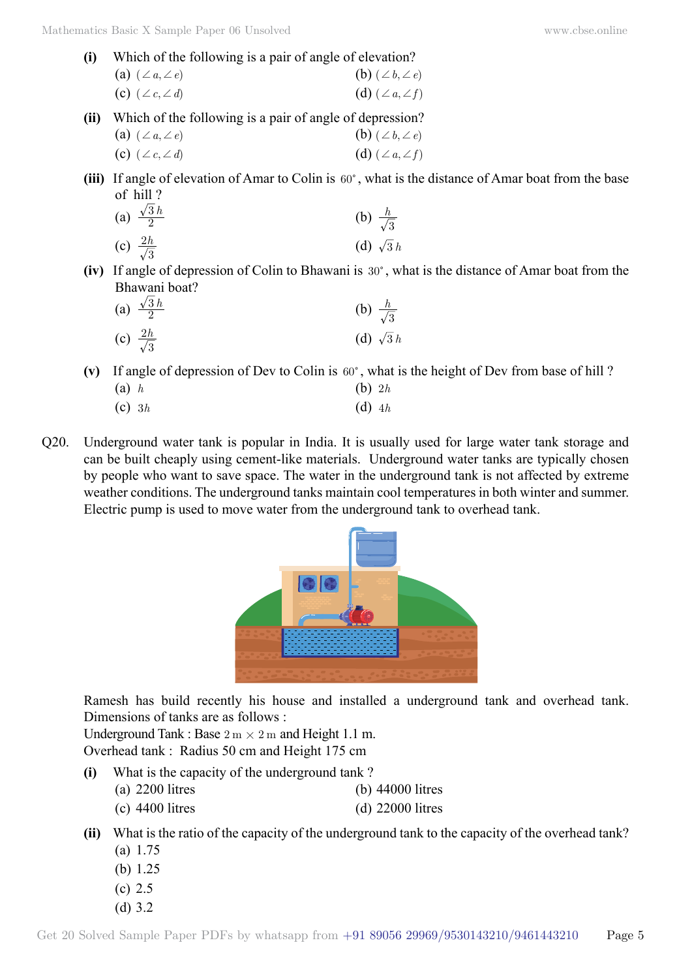- **(i)** Which of the following is a pair of angle of elevation? (a)  $(\angle a, \angle e)$  (b)  $(\angle b, \angle e)$ (c)  $(\angle c, \angle d)$  (d)  $(\angle a, \angle f)$
- **(ii)** Which of the following is a pair of angle of depression?
	- (a)  $(\angle a, \angle e)$  (b)  $(\angle b, \angle e)$ (c)  $(\angle c, \angle d)$  (d)  $(\angle a, \angle f)$
- (iii) If angle of elevation of Amar to Colin is  $60^\circ$ , what is the distance of Amar boat from the base of hill ?

(a) 
$$
\frac{\sqrt{3}h}{2}
$$
   
\n(b)  $\frac{h}{\sqrt{3}}$    
\n(c)  $\frac{2h}{\sqrt{3}}$    
\n(d)  $\sqrt{3}h$ 

**(iv)** If angle of depression of Colin to Bhawani is 30°, what is the distance of Amar boat from the Bhawani boat?

| (a) $\frac{\sqrt{3}h}{2}$ | (b) $\frac{h}{\sqrt{3}}$ |
|---------------------------|--------------------------|
| (c) $\frac{2h}{\sqrt{3}}$ | (d) $\sqrt{3}h$          |

(v) If angle of depression of Dev to Colin is  $60^\circ$ , what is the height of Dev from base of hill ? (a) *h* (b) 2*h*

- (c) 3*h* (d) 4*h*
- Q20. Underground water tank is popular in India. It is usually used for large water tank storage and can be built cheaply using cement-like materials. Underground water tanks are typically chosen by people who want to save space. The water in the underground tank is not affected by extreme weather conditions. The underground tanks maintain cool temperatures in both winter and summer. Electric pump is used to move water from the underground tank to overhead tank.



Ramesh has build recently his house and installed a underground tank and overhead tank. Dimensions of tanks are as follows :

Underground Tank : Base  $2 \text{ m} \times 2 \text{ m}$  and Height 1.1 m. Overhead tank : Radius 50 cm and Height 175 cm

- **(i)** What is the capacity of the underground tank ?
	- (a) 2200 litres (b) 44000 litres
	- (c) 4400 litres (d) 22000 litres
- **(ii)** What is the ratio of the capacity of the underground tank to the capacity of the overhead tank? (a) 1.75
	- (b) 1.25
	- (c) 2.5
	- (d) 3.2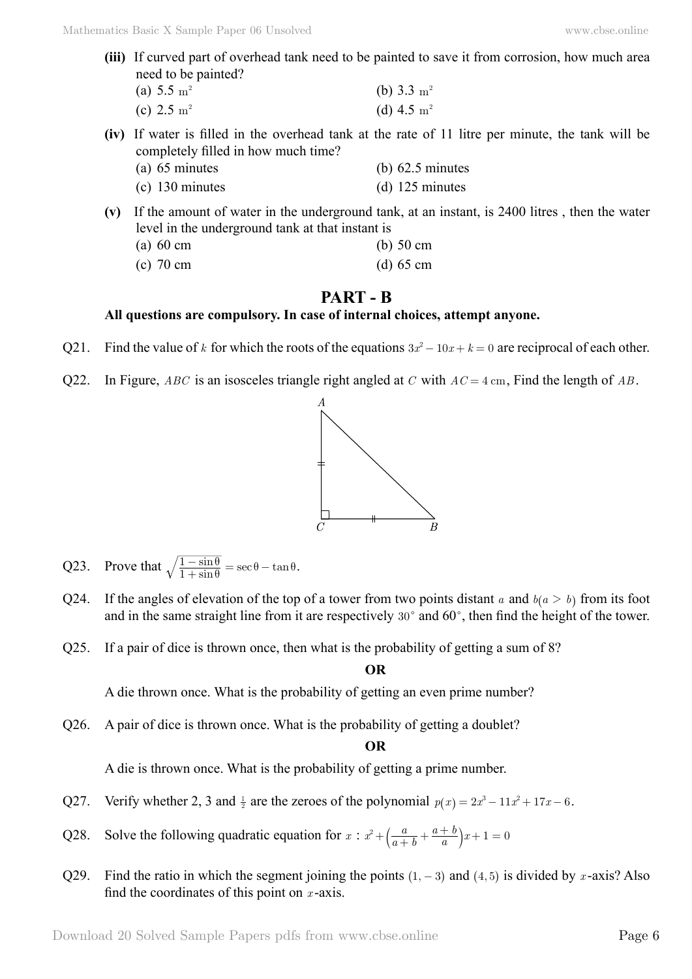**(iii)** If curved part of overhead tank need to be painted to save it from corrosion, how much area need to be painted?

| (a) 5.5 $\rm m^2$ | (b) $3.3 \text{ m}^2$ |
|-------------------|-----------------------|
| (c) 2.5 $m^2$     | (d) 4.5 $m2$          |

- **(iv)** If water is filled in the overhead tank at the rate of 11 litre per minute, the tank will be completely filled in how much time?
	- (a) 65 minutes (b) 62.5 minutes (c) 130 minutes (d) 125 minutes
- **(v)** If the amount of water in the underground tank, at an instant, is 2400 litres , then the water level in the underground tank at that instant is
	- (a) 60 cm (b) 50 cm
	- (c) 70 cm (d) 65 cm

## **Part - B**

## **All questions are compulsory. In case of internal choices, attempt anyone.**

- Q21. Find the value of *k* for which the roots of the equations  $3x^2 10x + k = 0$  are reciprocal of each other.
- Q22. In Figure, *ABC* is an isosceles triangle right angled at *C* with *AC* = 4 cm, Find the length of *AB* .



- Q23. Prove that  $\sqrt{\frac{1-\sin\theta}{1+\sin\theta}} = \sec\theta \tan\theta$  $\frac{-\sin\theta}{+\sin\theta} = \sec\theta - \tan\theta.$
- Q24. If the angles of elevation of the top of a tower from two points distant *a* and  $b(a > b)$  from its foot and in the same straight line from it are respectively  $30^{\circ}$  and  $60^{\circ}$ , then find the height of the tower.
- Q25. If a pair of dice is thrown once, then what is the probability of getting a sum of 8?

#### **O**

A die thrown once. What is the probability of getting an even prime number?

Q26. A pair of dice is thrown once. What is the probability of getting a doublet?

#### **O**

A die is thrown once. What is the probability of getting a prime number.

- Q27. Verify whether 2, 3 and  $\frac{1}{2}$  are the zeroes of the polynomial  $p(x) = 2x^3 11x^2 + 17x 6$ .
- Q28. Solve the following quadratic equation for  $x : x^2 + \left(\frac{a}{a+b}\right)^2$ *a*  $x^2 + \left(\frac{a}{a+b} + \frac{a+b}{a}\right)x + 1 = 0$
- Q29. Find the ratio in which the segment joining the points  $(1, -3)$  and  $(4, 5)$  is divided by *x*-axis? Also find the coordinates of this point on *x* -axis.